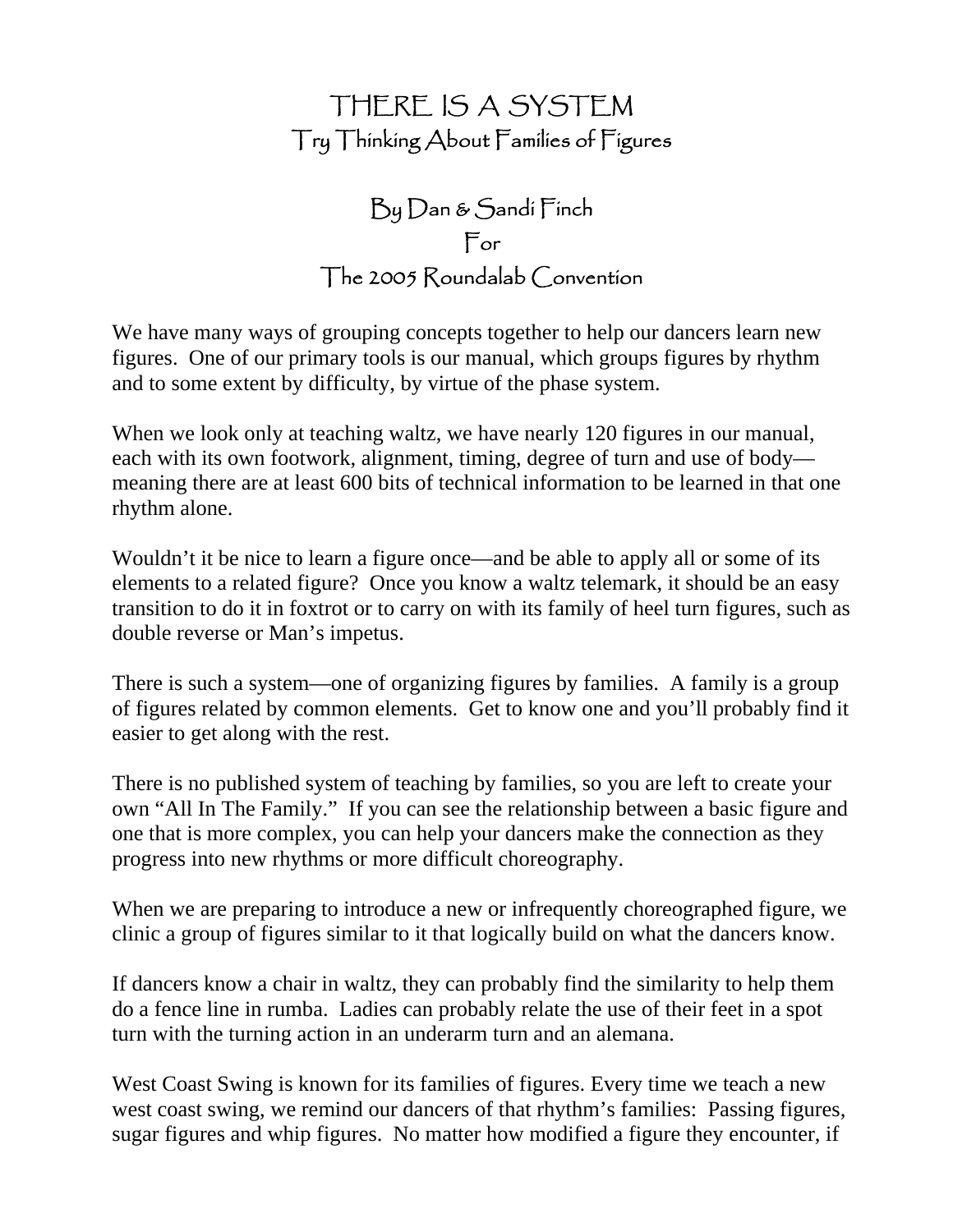# THERE IS A SYSTEM Try Thinking About Families of Figures

# $\mathop{\rm Dg}\nolimits D$ an &  $\mathop{\rm S}\nolimits$ andí  $\mathop{\rm \Gamma}\nolimits$ ínch For The 2005 Roundalab Convention

We have many ways of grouping concepts together to help our dancers learn new figures. One of our primary tools is our manual, which groups figures by rhythm and to some extent by difficulty, by virtue of the phase system.

When we look only at teaching waltz, we have nearly 120 figures in our manual, each with its own footwork, alignment, timing, degree of turn and use of body meaning there are at least 600 bits of technical information to be learned in that one rhythm alone.

Wouldn't it be nice to learn a figure once—and be able to apply all or some of its elements to a related figure? Once you know a waltz telemark, it should be an easy transition to do it in foxtrot or to carry on with its family of heel turn figures, such as double reverse or Man's impetus.

There is such a system—one of organizing figures by families. A family is a group of figures related by common elements. Get to know one and you'll probably find it easier to get along with the rest.

There is no published system of teaching by families, so you are left to create your own "All In The Family." If you can see the relationship between a basic figure and one that is more complex, you can help your dancers make the connection as they progress into new rhythms or more difficult choreography.

When we are preparing to introduce a new or infrequently choreographed figure, we clinic a group of figures similar to it that logically build on what the dancers know.

If dancers know a chair in waltz, they can probably find the similarity to help them do a fence line in rumba. Ladies can probably relate the use of their feet in a spot turn with the turning action in an underarm turn and an alemana.

West Coast Swing is known for its families of figures. Every time we teach a new west coast swing, we remind our dancers of that rhythm's families: Passing figures, sugar figures and whip figures. No matter how modified a figure they encounter, if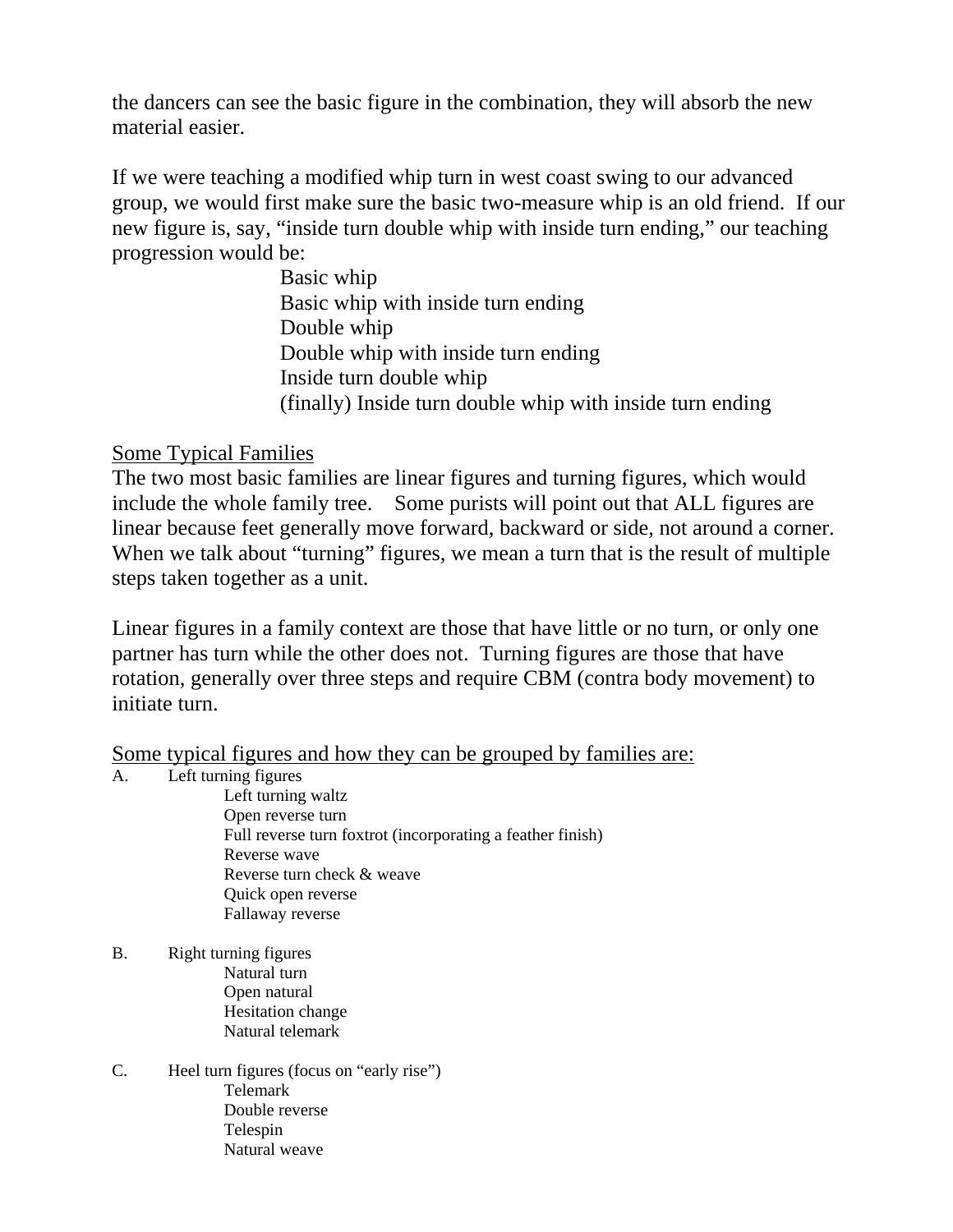the dancers can see the basic figure in the combination, they will absorb the new material easier.

If we were teaching a modified whip turn in west coast swing to our advanced group, we would first make sure the basic two-measure whip is an old friend. If our new figure is, say, "inside turn double whip with inside turn ending," our teaching progression would be:

 Basic whip Basic whip with inside turn ending Double whip Double whip with inside turn ending Inside turn double whip (finally) Inside turn double whip with inside turn ending

## Some Typical Families

The two most basic families are linear figures and turning figures, which would include the whole family tree. Some purists will point out that ALL figures are linear because feet generally move forward, backward or side, not around a corner. When we talk about "turning" figures, we mean a turn that is the result of multiple steps taken together as a unit.

Linear figures in a family context are those that have little or no turn, or only one partner has turn while the other does not. Turning figures are those that have rotation, generally over three steps and require CBM (contra body movement) to initiate turn.

Some typical figures and how they can be grouped by families are:

## A. Left turning figures

 Left turning waltz Open reverse turn Full reverse turn foxtrot (incorporating a feather finish) Reverse wave Reverse turn check & weave Quick open reverse Fallaway reverse

- B. Right turning figures Natural turn Open natural Hesitation change Natural telemark
- C. Heel turn figures (focus on "early rise") Telemark Double reverse Telespin Natural weave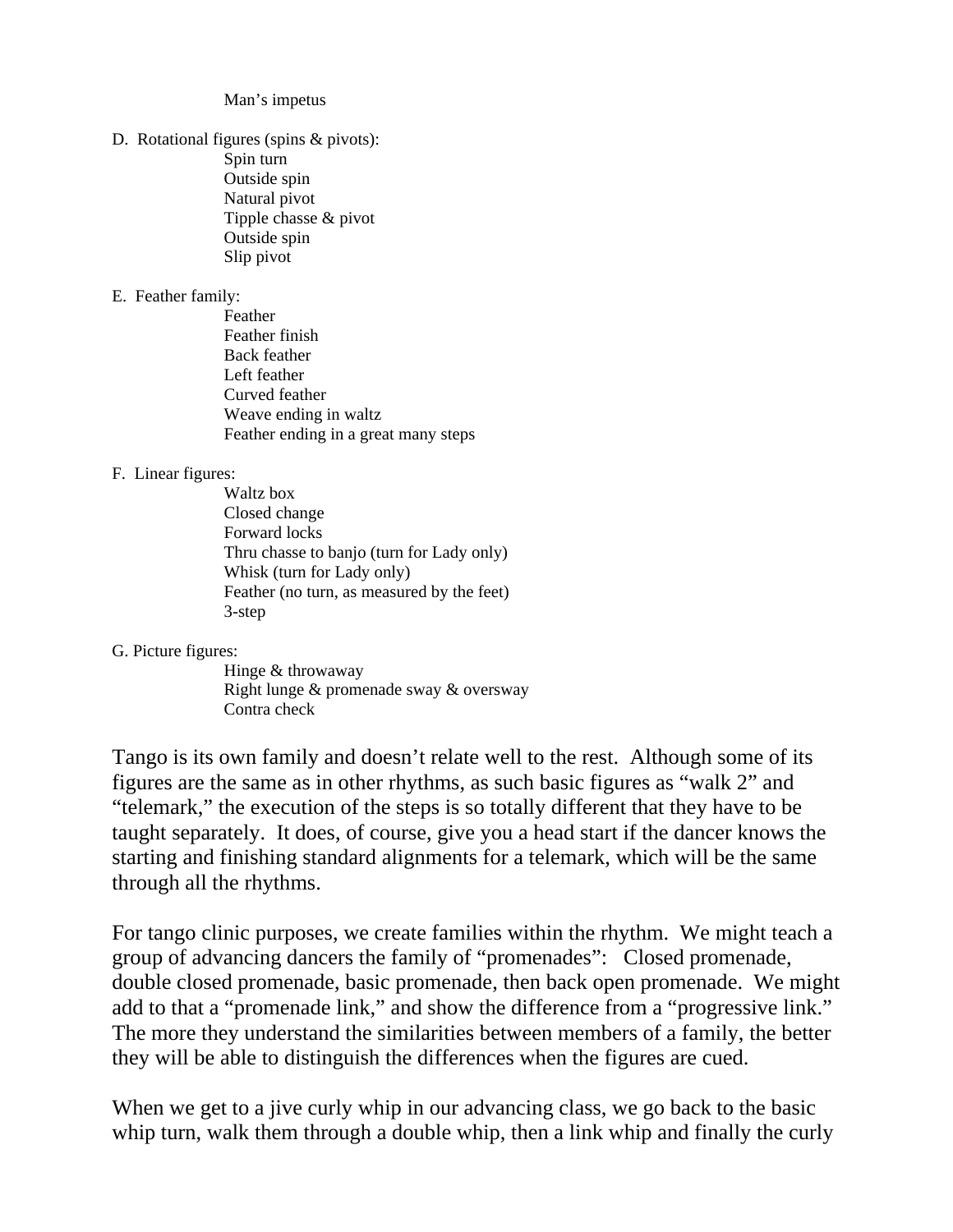Man's impetus

D. Rotational figures (spins & pivots): Spin turn Outside spin Natural pivot Tipple chasse & pivot Outside spin Slip pivot

### E. Feather family:

 Feather Feather finish Back feather Left feather Curved feather Weave ending in waltz Feather ending in a great many steps

### F. Linear figures:

 Waltz box Closed change Forward locks Thru chasse to banjo (turn for Lady only) Whisk (turn for Lady only) Feather (no turn, as measured by the feet) 3-step

### G. Picture figures:

 Hinge & throwaway Right lunge & promenade sway & oversway Contra check

Tango is its own family and doesn't relate well to the rest. Although some of its figures are the same as in other rhythms, as such basic figures as "walk 2" and "telemark," the execution of the steps is so totally different that they have to be taught separately. It does, of course, give you a head start if the dancer knows the starting and finishing standard alignments for a telemark, which will be the same through all the rhythms.

For tango clinic purposes, we create families within the rhythm. We might teach a group of advancing dancers the family of "promenades": Closed promenade, double closed promenade, basic promenade, then back open promenade. We might add to that a "promenade link," and show the difference from a "progressive link." The more they understand the similarities between members of a family, the better they will be able to distinguish the differences when the figures are cued.

When we get to a jive curly whip in our advancing class, we go back to the basic whip turn, walk them through a double whip, then a link whip and finally the curly